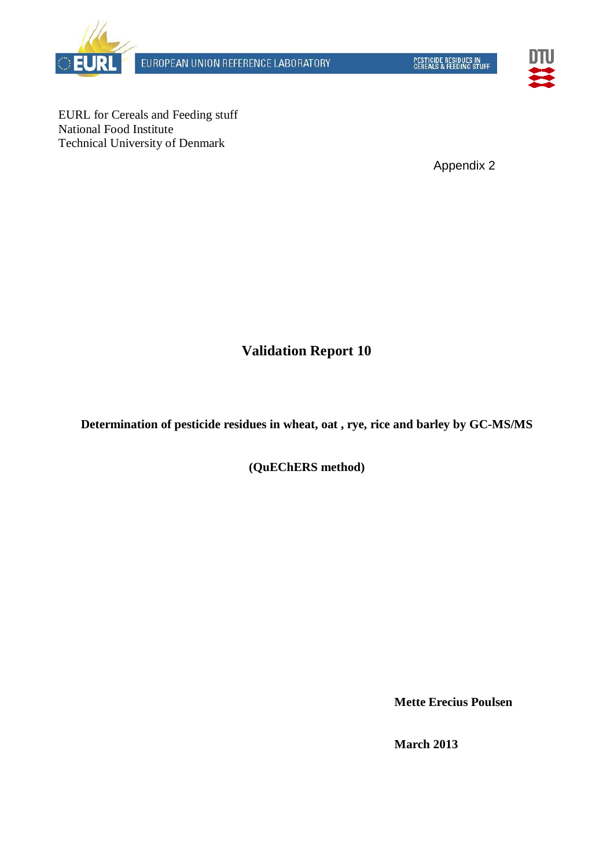

EUROPEAN UNION REFERENCE LABORATORY



EURL for Cereals and Feeding stuff National Food Institute Technical University of Denmark

Appendix 2

**Validation Report 10**

**Determination of pesticide residues in wheat, oat , rye, rice and barley by GC-MS/MS**

**(QuEChERS method)**

**Mette Erecius Poulsen**

**March 2013**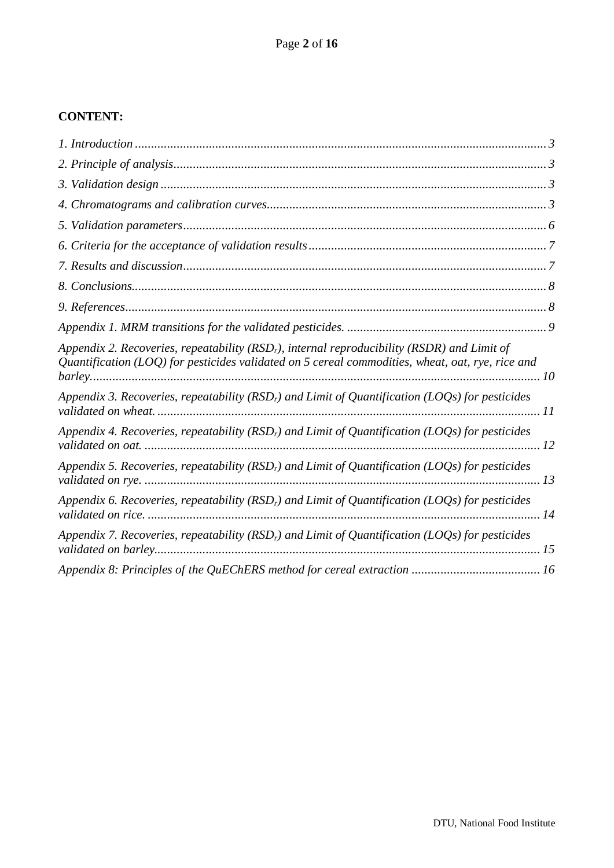## **CONTENT:**

| Appendix 2. Recoveries, repeatability ( $RSDr$ ), internal reproducibility ( $RSDR$ ) and Limit of<br>Quantification (LOQ) for pesticides validated on 5 cereal commodities, wheat, oat, rye, rice and |  |
|--------------------------------------------------------------------------------------------------------------------------------------------------------------------------------------------------------|--|
| Appendix 3. Recoveries, repeatability (RSD <sub>r</sub> ) and Limit of Quantification (LOQs) for pesticides                                                                                            |  |
| Appendix 4. Recoveries, repeatability (RSD <sub>r</sub> ) and Limit of Quantification (LOQs) for pesticides                                                                                            |  |
| Appendix 5. Recoveries, repeatability (RSD <sub>r</sub> ) and Limit of Quantification (LOQs) for pesticides                                                                                            |  |
| Appendix 6. Recoveries, repeatability (RSD <sub>r</sub> ) and Limit of Quantification (LOQs) for pesticides                                                                                            |  |
| Appendix 7. Recoveries, repeatability (RSD <sub>r</sub> ) and Limit of Quantification (LOQs) for pesticides                                                                                            |  |
|                                                                                                                                                                                                        |  |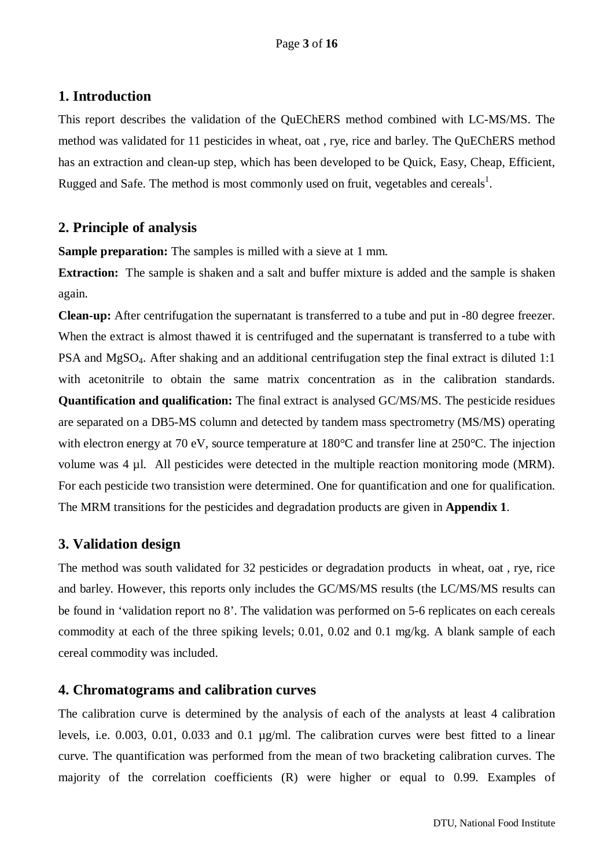#### <span id="page-2-0"></span>**1. Introduction**

This report describes the validation of the QuEChERS method combined with LC-MS/MS. The method was validated for 11 pesticides in wheat, oat , rye, rice and barley. The QuEChERS method has an extraction and clean-up step, which has been developed to be Quick, Easy, Cheap, Efficient, Rugged and Safe. The method is most commonly used on fruit, vegetables and cereals<sup>1</sup>.

## <span id="page-2-1"></span>**2. Principle of analysis**

**Sample preparation:** The samples is milled with a sieve at 1 mm.

**Extraction:** The sample is shaken and a salt and buffer mixture is added and the sample is shaken again.

**Clean-up:** After centrifugation the supernatant is transferred to a tube and put in -80 degree freezer. When the extract is almost thawed it is centrifuged and the supernatant is transferred to a tube with PSA and MgSO4. After shaking and an additional centrifugation step the final extract is diluted 1:1 with acetonitrile to obtain the same matrix concentration as in the calibration standards. **Quantification and qualification:** The final extract is analysed GC/MS/MS. The pesticide residues are separated on a DB5-MS column and detected by tandem mass spectrometry (MS/MS) operating with electron energy at 70 eV, source temperature at 180°C and transfer line at 250°C. The injection volume was 4 µl. All pesticides were detected in the multiple reaction monitoring mode (MRM). For each pesticide two transistion were determined. One for quantification and one for qualification. The MRM transitions for the pesticides and degradation products are given in **Appendix 1**.

## <span id="page-2-2"></span>**3. Validation design**

The method was south validated for 32 pesticides or degradation products in wheat, oat , rye, rice and barley. However, this reports only includes the GC/MS/MS results (the LC/MS/MS results can be found in 'validation report no 8'. The validation was performed on 5-6 replicates on each cereals commodity at each of the three spiking levels; 0.01, 0.02 and 0.1 mg/kg. A blank sample of each cereal commodity was included.

#### <span id="page-2-3"></span>**4. Chromatograms and calibration curves**

The calibration curve is determined by the analysis of each of the analysts at least 4 calibration levels, i.e. 0.003, 0.01, 0.033 and 0.1 µg/ml. The calibration curves were best fitted to a linear curve. The quantification was performed from the mean of two bracketing calibration curves. The majority of the correlation coefficients (R) were higher or equal to 0.99. Examples of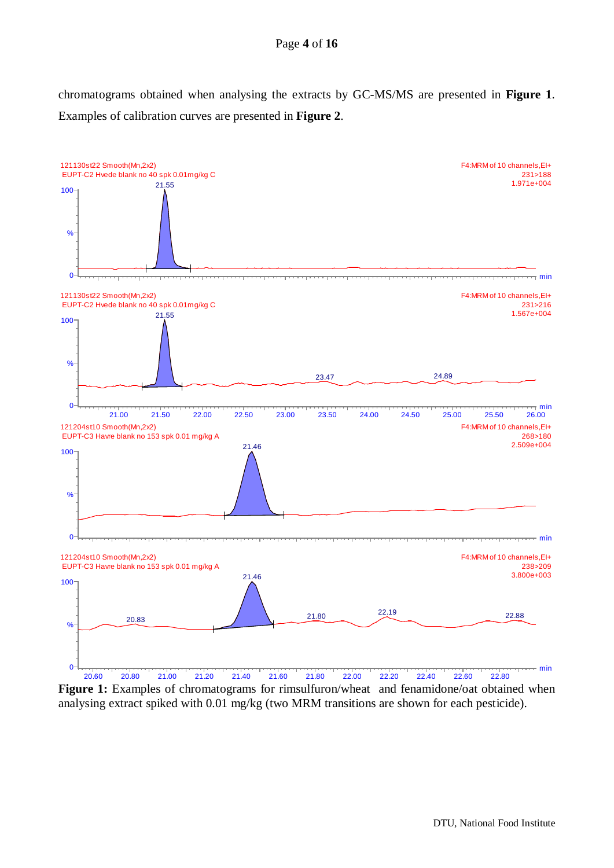#### Page **4** of **16**

chromatograms obtained when analysing the extracts by GC-MS/MS are presented in **Figure 1**. Examples of calibration curves are presented in **Figure 2**.



Figure 1: Examples of chromatograms for rimsulfuron/wheat and fenamidone/oat obtained when analysing extract spiked with 0.01 mg/kg (two MRM transitions are shown for each pesticide).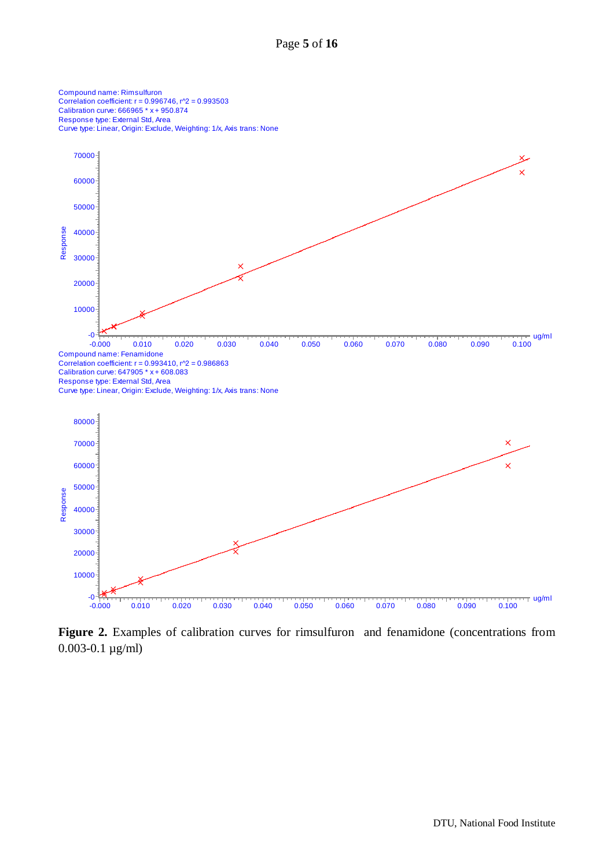

**Figure 2.** Examples of calibration curves for rimsulfuron and fenamidone (concentrations from 0.003-0.1 µg/ml)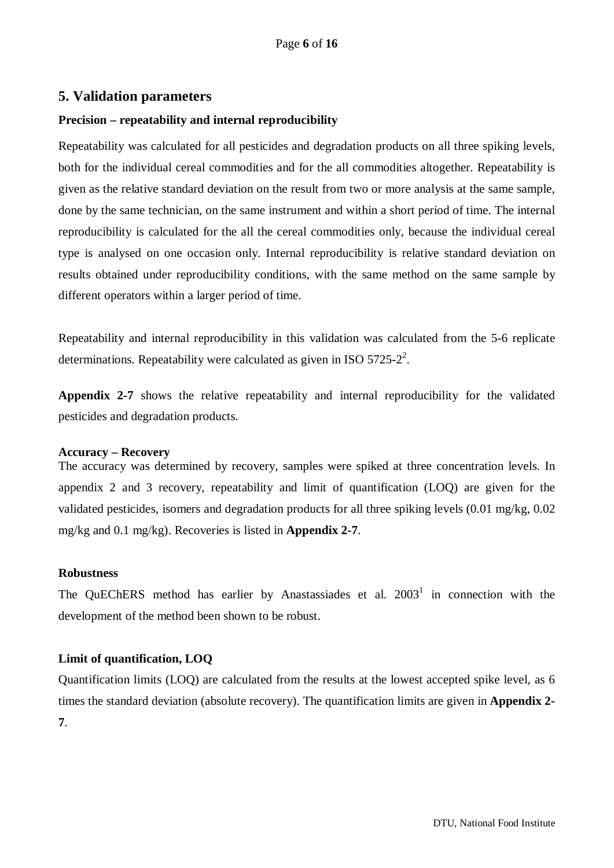#### <span id="page-5-0"></span>**5. Validation parameters**

#### **Precision – repeatability and internal reproducibility**

Repeatability was calculated for all pesticides and degradation products on all three spiking levels, both for the individual cereal commodities and for the all commodities altogether. Repeatability is given as the relative standard deviation on the result from two or more analysis at the same sample, done by the same technician, on the same instrument and within a short period of time. The internal reproducibility is calculated for the all the cereal commodities only, because the individual cereal type is analysed on one occasion only. Internal reproducibility is relative standard deviation on results obtained under reproducibility conditions, with the same method on the same sample by different operators within a larger period of time.

Repeatability and internal reproducibility in this validation was calculated from the 5-6 replicate determinations. Repeatability were calculated as given in ISO  $5725-2^2$ .

**Appendix 2-7** shows the relative repeatability and internal reproducibility for the validated pesticides and degradation products.

#### **Accuracy – Recovery**

The accuracy was determined by recovery, samples were spiked at three concentration levels. In appendix 2 and 3 recovery, repeatability and limit of quantification (LOQ) are given for the validated pesticides, isomers and degradation products for all three spiking levels (0.01 mg/kg, 0.02 mg/kg and 0.1 mg/kg). Recoveries is listed in **Appendix 2-7**.

#### **Robustness**

The OuEChERS method has earlier by Anastassiades et al.  $2003<sup>1</sup>$  in connection with the development of the method been shown to be robust.

#### **Limit of quantification, LOQ**

Quantification limits (LOQ) are calculated from the results at the lowest accepted spike level, as 6 times the standard deviation (absolute recovery). The quantification limits are given in **Appendix 2- 7**.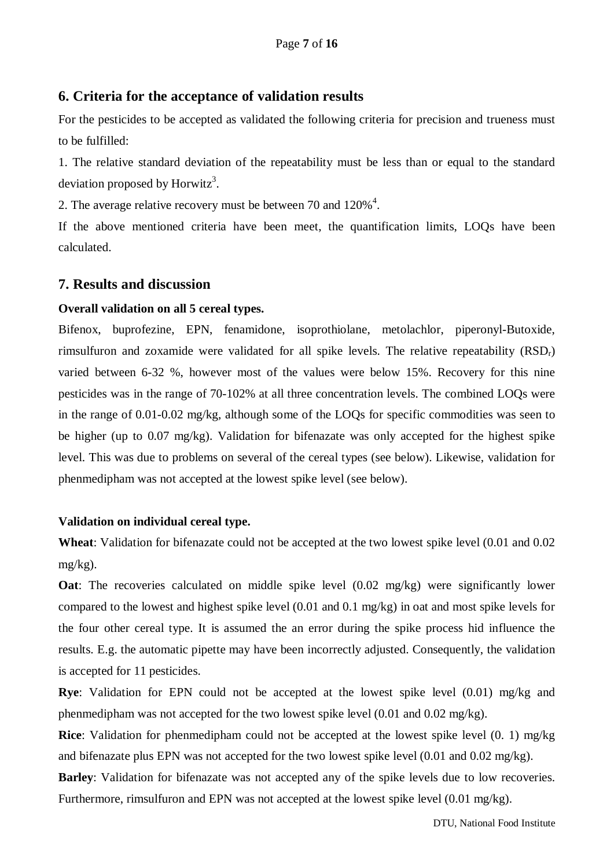#### <span id="page-6-0"></span>**6. Criteria for the acceptance of validation results**

For the pesticides to be accepted as validated the following criteria for precision and trueness must to be fulfilled:

1. The relative standard deviation of the repeatability must be less than or equal to the standard deviation proposed by Horwitz<sup>3</sup>.

2. The average relative recovery must be between 70 and  $120\%$ <sup>4</sup>.

If the above mentioned criteria have been meet, the quantification limits, LOQs have been calculated.

#### <span id="page-6-1"></span>**7. Results and discussion**

#### **Overall validation on all 5 cereal types.**

Bifenox, buprofezine, EPN, fenamidone, isoprothiolane, metolachlor, piperonyl-Butoxide, rimsulfuron and zoxamide were validated for all spike levels. The relative repeatability  $(RSD<sub>r</sub>)$ varied between 6-32 %, however most of the values were below 15%. Recovery for this nine pesticides was in the range of 70-102% at all three concentration levels. The combined LOQs were in the range of 0.01-0.02 mg/kg, although some of the LOQs for specific commodities was seen to be higher (up to 0.07 mg/kg). Validation for bifenazate was only accepted for the highest spike level. This was due to problems on several of the cereal types (see below). Likewise, validation for phenmedipham was not accepted at the lowest spike level (see below).

#### **Validation on individual cereal type.**

**Wheat**: Validation for bifenazate could not be accepted at the two lowest spike level (0.01 and 0.02 mg/kg).

**Oat**: The recoveries calculated on middle spike level (0.02 mg/kg) were significantly lower compared to the lowest and highest spike level (0.01 and 0.1 mg/kg) in oat and most spike levels for the four other cereal type. It is assumed the an error during the spike process hid influence the results. E.g. the automatic pipette may have been incorrectly adjusted. Consequently, the validation is accepted for 11 pesticides.

**Rye**: Validation for EPN could not be accepted at the lowest spike level (0.01) mg/kg and phenmedipham was not accepted for the two lowest spike level (0.01 and 0.02 mg/kg).

**Rice**: Validation for phenmedipham could not be accepted at the lowest spike level (0. 1) mg/kg and bifenazate plus EPN was not accepted for the two lowest spike level (0.01 and 0.02 mg/kg).

**Barley**: Validation for bifenazate was not accepted any of the spike levels due to low recoveries. Furthermore, rimsulfuron and EPN was not accepted at the lowest spike level (0.01 mg/kg).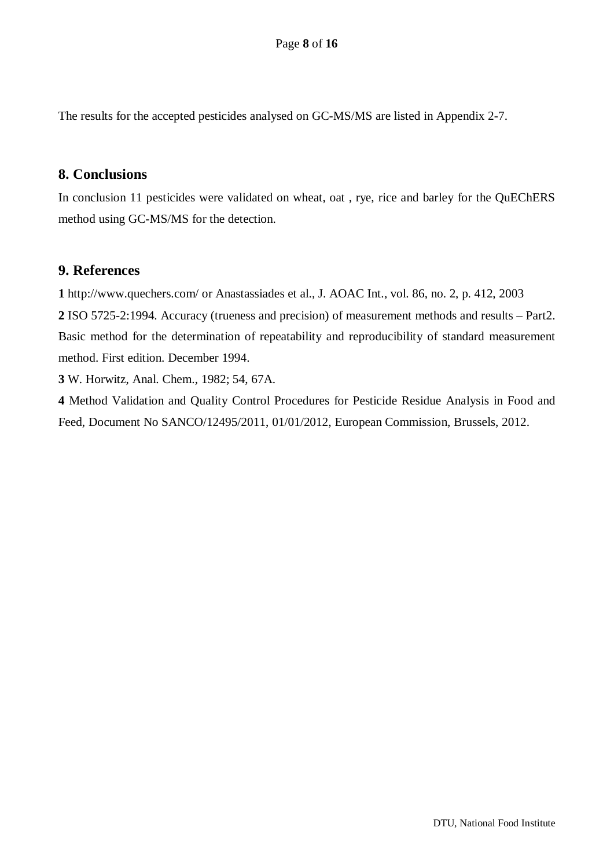The results for the accepted pesticides analysed on GC-MS/MS are listed in Appendix 2-7.

#### <span id="page-7-0"></span>**8. Conclusions**

In conclusion 11 pesticides were validated on wheat, oat , rye, rice and barley for the QuEChERS method using GC-MS/MS for the detection.

## <span id="page-7-1"></span>**9. References**

**1** http://www.quechers.com/ or Anastassiades et al., J. AOAC Int., vol. 86, no. 2, p. 412, 2003

**2** ISO 5725-2:1994. Accuracy (trueness and precision) of measurement methods and results – Part2. Basic method for the determination of repeatability and reproducibility of standard measurement method. First edition. December 1994.

**3** W. Horwitz, Anal. Chem., 1982; 54, 67A.

**4** Method Validation and Quality Control Procedures for Pesticide Residue Analysis in Food and Feed, Document No SANCO/12495/2011, 01/01/2012, European Commission, Brussels, 2012.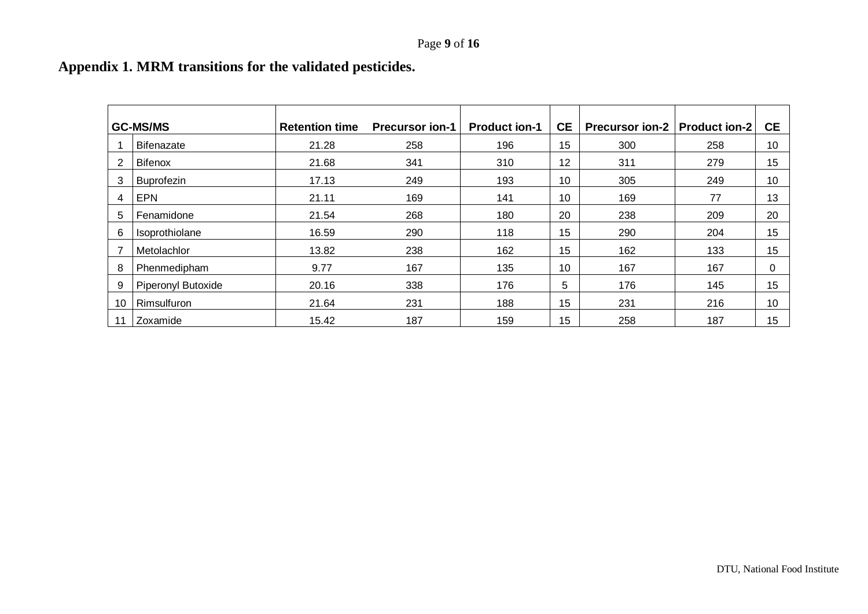# **Appendix 1. MRM transitions for the validated pesticides.**

<span id="page-8-0"></span>

|    | <b>GC-MS/MS</b>    | <b>Retention time</b> | <b>Precursor ion-1</b> | <b>Product ion-1</b> | <b>CE</b> | <b>Precursor ion-2</b> | <b>Product ion-2</b> | <b>CE</b>    |
|----|--------------------|-----------------------|------------------------|----------------------|-----------|------------------------|----------------------|--------------|
|    | Bifenazate         | 21.28                 | 258                    | 196                  | 15        | 300                    | 258                  | 10           |
| 2  | <b>Bifenox</b>     | 21.68                 | 341                    | 310                  | 12        | 311                    | 279                  | 15           |
| 3  | Buprofezin         | 17.13                 | 249                    | 193                  | 10        | 305                    | 249                  | 10           |
| 4  | <b>EPN</b>         | 21.11                 | 169                    | 141                  | 10        | 169                    | 77                   | 13           |
| 5  | Fenamidone         | 21.54                 | 268                    | 180                  | 20        | 238                    | 209                  | 20           |
| 6  | Isoprothiolane     | 16.59                 | 290                    | 118                  | 15        | 290                    | 204                  | 15           |
|    | Metolachlor        | 13.82                 | 238                    | 162                  | 15        | 162                    | 133                  | 15           |
| 8  | Phenmedipham       | 9.77                  | 167                    | 135                  | 10        | 167                    | 167                  | $\mathbf{0}$ |
| 9  | Piperonyl Butoxide | 20.16                 | 338                    | 176                  | 5         | 176                    | 145                  | 15           |
| 10 | Rimsulfuron        | 21.64                 | 231                    | 188                  | 15        | 231                    | 216                  | 10           |
| 11 | Zoxamide           | 15.42                 | 187                    | 159                  | 15        | 258                    | 187                  | 15           |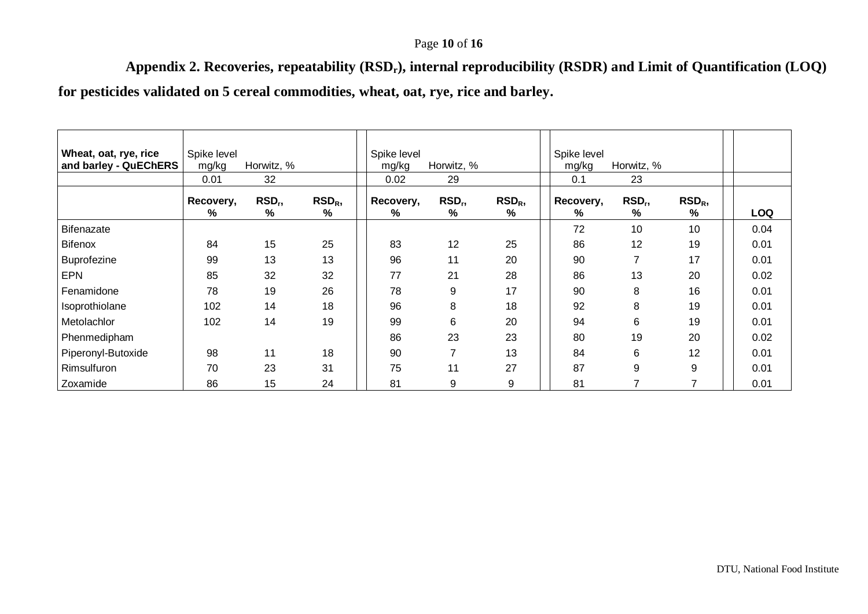## Page **10** of **16**

**Appendix 2. Recoveries, repeatability (RSDr), internal reproducibility (RSDR) and Limit of Quantification (LOQ)**

**for pesticides validated on 5 cereal commodities, wheat, oat, rye, rice and barley.**

<span id="page-9-0"></span>

| Wheat, oat, rye, rice<br>and barley - QuEChERS | Spike level<br>mg/kg | Horwitz, %              |                       | Spike level<br>mg/kg | Horwitz, %              |                          | Spike level<br>mg/kg | Horwitz, %              |                 |            |
|------------------------------------------------|----------------------|-------------------------|-----------------------|----------------------|-------------------------|--------------------------|----------------------|-------------------------|-----------------|------------|
|                                                | 0.01                 | 32                      |                       | 0.02                 | 29                      |                          | 0.1                  | 23                      |                 |            |
|                                                | Recovery,<br>%       | RSD <sub>r</sub> ,<br>% | RSD <sub>R</sub><br>% | Recovery,<br>%       | RSD <sub>r</sub> ,<br>% | RSD <sub>R</sub><br>$\%$ | Recovery,<br>%       | RSD <sub>r</sub> ,<br>% | $RSD_R$<br>$\%$ | <b>LOQ</b> |
| <b>Bifenazate</b>                              |                      |                         |                       |                      |                         |                          | 72                   | 10                      | 10 <sup>°</sup> | 0.04       |
| <b>Bifenox</b>                                 | 84                   | 15                      | 25                    | 83                   | 12                      | 25                       | 86                   | 12                      | 19              | 0.01       |
| <b>Buprofezine</b>                             | 99                   | 13                      | 13                    | 96                   | 11                      | 20                       | 90                   | 7                       | 17              | 0.01       |
| <b>EPN</b>                                     | 85                   | 32                      | 32                    | 77                   | 21                      | 28                       | 86                   | 13                      | 20              | 0.02       |
| Fenamidone                                     | 78                   | 19                      | 26                    | 78                   | 9                       | 17                       | 90                   | 8                       | 16              | 0.01       |
| Isoprothiolane                                 | 102                  | 14                      | 18                    | 96                   | 8                       | 18                       | 92                   | 8                       | 19              | 0.01       |
| Metolachlor                                    | 102                  | 14                      | 19                    | 99                   | 6                       | 20                       | 94                   | 6                       | 19              | 0.01       |
| Phenmedipham                                   |                      |                         |                       | 86                   | 23                      | 23                       | 80                   | 19                      | 20              | 0.02       |
| Piperonyl-Butoxide                             | 98                   | 11                      | 18                    | 90                   | 7                       | 13                       | 84                   | 6                       | 12              | 0.01       |
| Rimsulfuron                                    | 70                   | 23                      | 31                    | 75                   | 11                      | 27                       | 87                   | 9                       | 9               | 0.01       |
| Zoxamide                                       | 86                   | 15                      | 24                    | 81                   | 9                       | 9                        | 81                   | 7                       | 7               | 0.01       |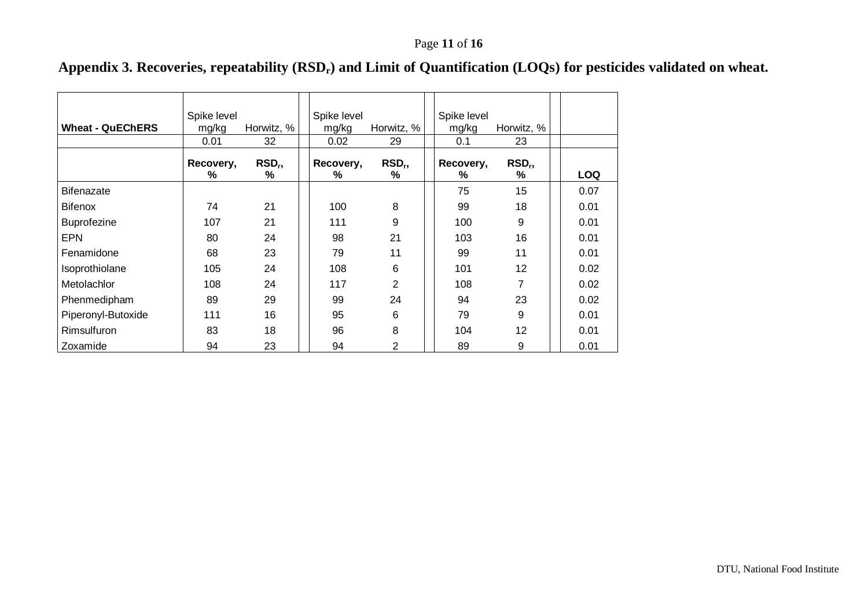# **Appendix 3. Recoveries, repeatability (RSDr) and Limit of Quantification (LOQs) for pesticides validated on wheat.**

<span id="page-10-0"></span>

| <b>Wheat - QuEChERS</b> | Spike level<br>mg/kg<br>0.01 | Horwitz, %<br>32      | Spike level<br>mg/kg<br>0.02 | Horwitz, %<br>29        | Spike level<br>mg/kg<br>0.1 | Horwitz, %<br>23      |            |
|-------------------------|------------------------------|-----------------------|------------------------------|-------------------------|-----------------------------|-----------------------|------------|
|                         | Recovery,<br>%               | RSD <sub>r</sub><br>℅ | Recovery,<br>℅               | RSD <sub>r</sub> ,<br>℅ | Recovery,<br>%              | RSD <sub>r</sub><br>% | <b>LOQ</b> |
| <b>Bifenazate</b>       |                              |                       |                              |                         | 75                          | 15                    | 0.07       |
| <b>Bifenox</b>          | 74                           | 21                    | 100                          | 8                       | 99                          | 18                    | 0.01       |
| <b>Buprofezine</b>      | 107                          | 21                    | 111                          | 9                       | 100                         | 9                     | 0.01       |
| <b>EPN</b>              | 80                           | 24                    | 98                           | 21                      | 103                         | 16                    | 0.01       |
| Fenamidone              | 68                           | 23                    | 79                           | 11                      | 99                          | 11                    | 0.01       |
| Isoprothiolane          | 105                          | 24                    | 108                          | 6                       | 101                         | 12                    | 0.02       |
| <b>Metolachlor</b>      | 108                          | 24                    | 117                          | $\overline{2}$          | 108                         | 7                     | 0.02       |
| Phenmedipham            | 89                           | 29                    | 99                           | 24                      | 94                          | 23                    | 0.02       |
| Piperonyl-Butoxide      | 111                          | 16                    | 95                           | 6                       | 79                          | 9                     | 0.01       |
| Rimsulfuron             | 83                           | 18                    | 96                           | 8                       | 104                         | $12 \overline{ }$     | 0.01       |
| Zoxamide                | 94                           | 23                    | 94                           | 2                       | 89                          | 9                     | 0.01       |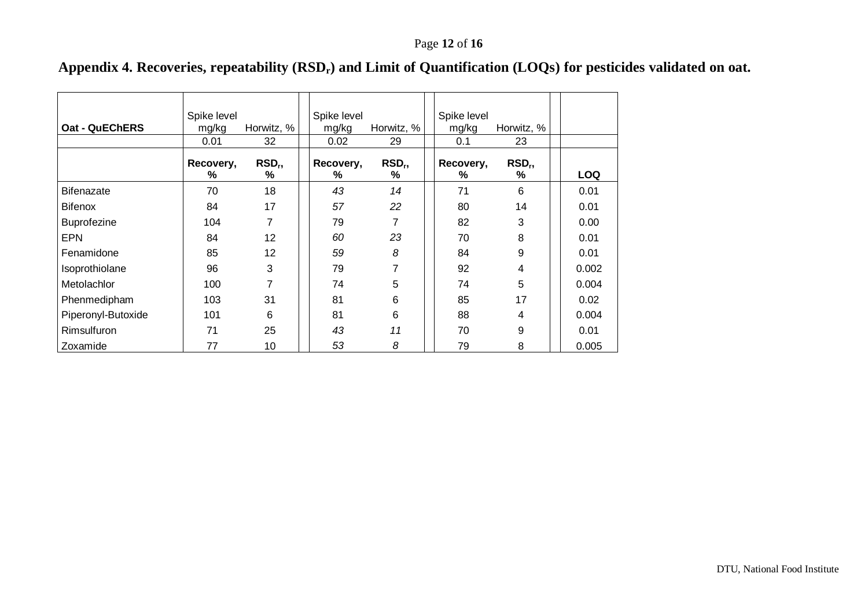# **Appendix 4. Recoveries, repeatability (RSDr) and Limit of Quantification (LOQs) for pesticides validated on oat.**

<span id="page-11-0"></span>

| <b>Oat - QuEChERS</b> | Spike level<br>mg/kg<br>0.01 | Horwitz, %<br>32      | Spike level<br>mg/kg<br>0.02 | Horwitz, %<br>29      | Spike level<br>mg/kg<br>0.1 | Horwitz, %<br>23         |            |
|-----------------------|------------------------------|-----------------------|------------------------------|-----------------------|-----------------------------|--------------------------|------------|
|                       | Recovery,<br>%               | RSD <sub>r</sub><br>% | Recovery,<br>%               | RSD <sub>r</sub><br>℅ | Recovery,<br>$\%$           | RSD <sub>r</sub><br>$\%$ | <b>LOQ</b> |
| <b>Bifenazate</b>     | 70                           | 18                    | 43                           | 14                    | 71                          | 6                        | 0.01       |
| <b>Bifenox</b>        | 84                           | 17                    | 57                           | 22                    | 80                          | 14                       | 0.01       |
| <b>Buprofezine</b>    | 104                          | 7                     | 79                           | 7                     | 82                          | 3                        | 0.00       |
| <b>EPN</b>            | 84                           | 12                    | 60                           | 23                    | 70                          | 8                        | 0.01       |
| Fenamidone            | 85                           | 12                    | 59                           | 8                     | 84                          | 9                        | 0.01       |
| Isoprothiolane        | 96                           | 3                     | 79                           | 7                     | 92                          | 4                        | 0.002      |
| Metolachlor           | 100                          | 7                     | 74                           | 5                     | 74                          | 5                        | 0.004      |
| Phenmedipham          | 103                          | 31                    | 81                           | 6                     | 85                          | 17                       | 0.02       |
| Piperonyl-Butoxide    | 101                          | 6                     | 81                           | 6                     | 88                          | 4                        | 0.004      |
| <b>Rimsulfuron</b>    | 71                           | 25                    | 43                           | 11                    | 70                          | 9                        | 0.01       |
| Zoxamide              | 77                           | 10                    | 53                           | 8                     | 79                          | 8                        | 0.005      |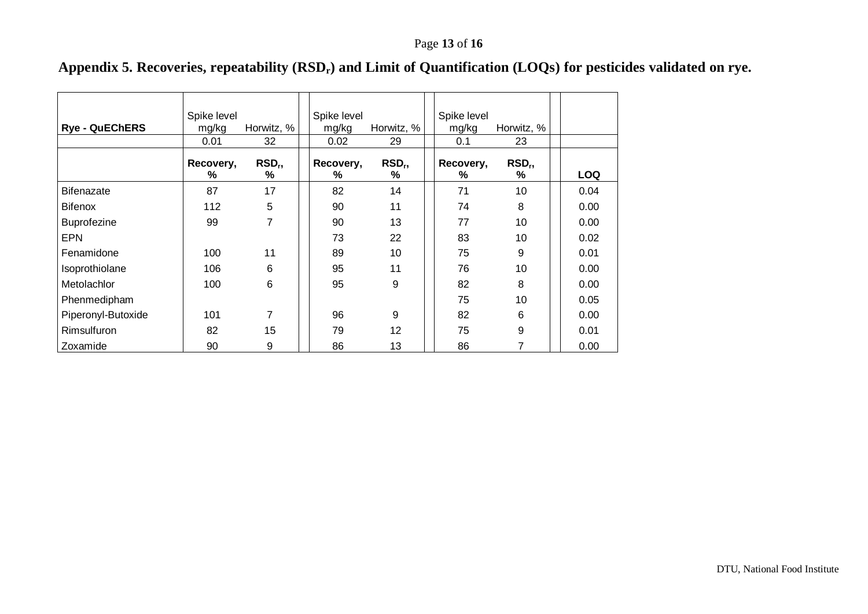# **Appendix 5. Recoveries, repeatability (RSDr) and Limit of Quantification (LOQs) for pesticides validated on rye.**

<span id="page-12-0"></span>

| <b>Rye - QuEChERS</b> | Spike level<br>mg/kg<br>0.01 | Horwitz, %<br>32      | Spike level<br>mg/kg<br>0.02 | Horwitz, %<br>29      | Spike level<br>mg/kg<br>0.1 | Horwitz, %<br>23      |            |
|-----------------------|------------------------------|-----------------------|------------------------------|-----------------------|-----------------------------|-----------------------|------------|
|                       | Recovery,<br>℅               | RSD <sub>r</sub><br>℅ | Recovery,<br>%               | RSD <sub>r</sub><br>% | Recovery,<br>℅              | RSD <sub>r</sub><br>℅ | <b>LOQ</b> |
| <b>Bifenazate</b>     | 87                           | 17                    | 82                           | 14                    | 71                          | 10                    | 0.04       |
| <b>Bifenox</b>        | 112                          | 5                     | 90                           | 11                    | 74                          | 8                     | 0.00       |
| <b>Buprofezine</b>    | 99                           | 7                     | 90                           | 13                    | 77                          | 10                    | 0.00       |
| <b>EPN</b>            |                              |                       | 73                           | 22                    | 83                          | 10                    | 0.02       |
| Fenamidone            | 100                          | 11                    | 89                           | 10                    | 75                          | 9                     | 0.01       |
| Isoprothiolane        | 106                          | 6                     | 95                           | 11                    | 76                          | 10                    | 0.00       |
| <b>Metolachlor</b>    | 100                          | 6                     | 95                           | 9                     | 82                          | 8                     | 0.00       |
| Phenmedipham          |                              |                       |                              |                       | 75                          | 10                    | 0.05       |
| Piperonyl-Butoxide    | 101                          | 7                     | 96                           | 9                     | 82                          | 6                     | 0.00       |
| Rimsulfuron           | 82                           | 15                    | 79                           | 12                    | 75                          | 9                     | 0.01       |
| Zoxamide              | 90                           | 9                     | 86                           | 13                    | 86                          | 7                     | 0.00       |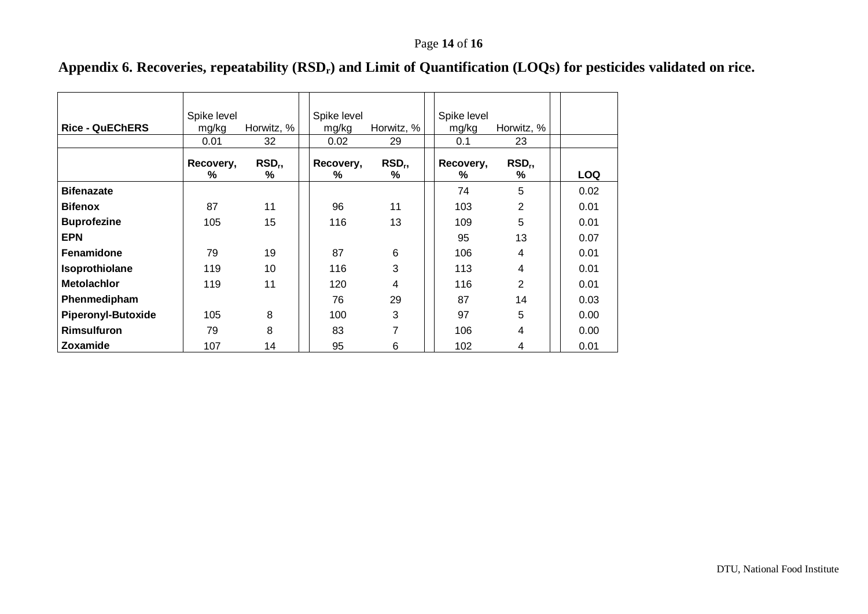# **Appendix 6. Recoveries, repeatability (RSDr) and Limit of Quantification (LOQs) for pesticides validated on rice.**

<span id="page-13-0"></span>

| <b>Rice - QuEChERS</b>    | Spike level<br>mg/kg<br>0.01 | Horwitz, %<br>32      | Spike level<br>mg/kg<br>0.02 | Horwitz, %<br>29      | Spike level<br>mg/kg<br>0.1 | Horwitz, %<br>23      |            |
|---------------------------|------------------------------|-----------------------|------------------------------|-----------------------|-----------------------------|-----------------------|------------|
|                           | Recovery,<br>%               | RSD <sub>r</sub><br>℅ | Recovery,<br>℅               | RSD <sub>r</sub><br>% | Recovery,<br>℅              | RSD <sub>r</sub><br>% | <b>LOQ</b> |
| <b>Bifenazate</b>         |                              |                       |                              |                       | 74                          | 5                     | 0.02       |
| <b>Bifenox</b>            | 87                           | 11                    | 96                           | 11                    | 103                         | 2                     | 0.01       |
| <b>Buprofezine</b>        | 105                          | 15                    | 116                          | 13                    | 109                         | 5                     | 0.01       |
| <b>EPN</b>                |                              |                       |                              |                       | 95                          | 13                    | 0.07       |
| <b>Fenamidone</b>         | 79                           | 19                    | 87                           | 6                     | 106                         | 4                     | 0.01       |
| Isoprothiolane            | 119                          | 10                    | 116                          | 3                     | 113                         | 4                     | 0.01       |
| <b>Metolachlor</b>        | 119                          | 11                    | 120                          | 4                     | 116                         | 2                     | 0.01       |
| Phenmedipham              |                              |                       | 76                           | 29                    | 87                          | 14                    | 0.03       |
| <b>Piperonyl-Butoxide</b> | 105                          | 8                     | 100                          | 3                     | 97                          | 5                     | 0.00       |
| <b>Rimsulfuron</b>        | 79                           | 8                     | 83                           | 7                     | 106                         | 4                     | 0.00       |
| <b>Zoxamide</b>           | 107                          | 14                    | 95                           | 6                     | 102                         | 4                     | 0.01       |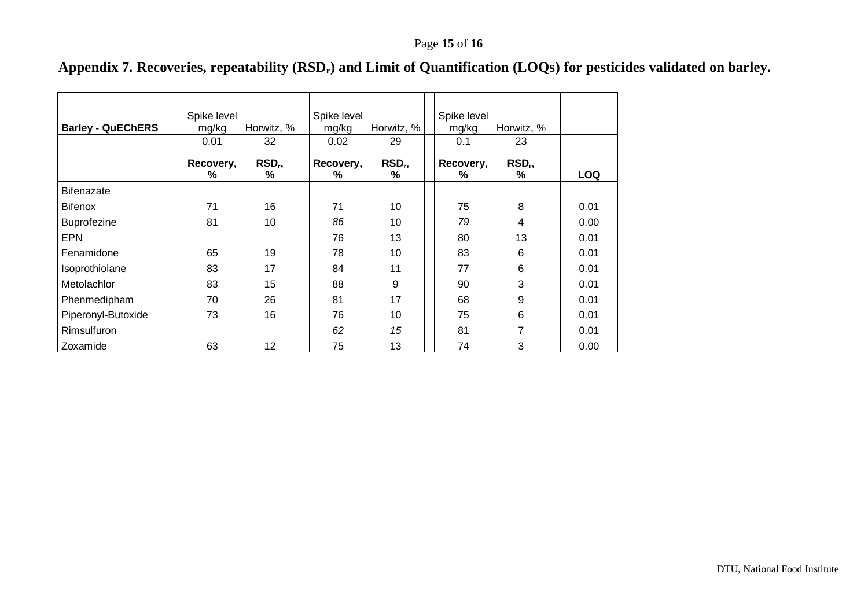# **Appendix 7. Recoveries, repeatability (RSDr) and Limit of Quantification (LOQs) for pesticides validated on barley.**

<span id="page-14-0"></span>

| <b>Barley - QuEChERS</b> | Spike level<br>mg/kg<br>0.01 | Horwitz, %<br>32        | Spike level<br>mg/kg<br>0.02 | Horwitz, %<br>29      | Spike level<br>mg/kg<br>0.1 | Horwitz, %<br>23      |            |
|--------------------------|------------------------------|-------------------------|------------------------------|-----------------------|-----------------------------|-----------------------|------------|
|                          | Recovery,<br>℅               | RSD <sub>r</sub> ,<br>% | Recovery,<br>℅               | RSD <sub>r</sub><br>℅ | Recovery,<br>%              | RSD <sub>r</sub><br>℅ | <b>LOQ</b> |
| <b>Bifenazate</b>        |                              |                         |                              |                       |                             |                       |            |
| <b>Bifenox</b>           | 71                           | 16                      | 71                           | 10                    | 75                          | 8                     | 0.01       |
| <b>Buprofezine</b>       | 81                           | 10                      | 86                           | 10                    | 79                          | 4                     | 0.00       |
| <b>EPN</b>               |                              |                         | 76                           | 13                    | 80                          | 13                    | 0.01       |
| Fenamidone               | 65                           | 19                      | 78                           | 10                    | 83                          | 6                     | 0.01       |
| Isoprothiolane           | 83                           | 17                      | 84                           | 11                    | 77                          | 6                     | 0.01       |
| <b>Metolachlor</b>       | 83                           | 15                      | 88                           | 9                     | 90                          | 3                     | 0.01       |
| Phenmedipham             | 70                           | 26                      | 81                           | 17                    | 68                          | 9                     | 0.01       |
| Piperonyl-Butoxide       | 73                           | 16                      | 76                           | 10                    | 75                          | 6                     | 0.01       |
| <b>Rimsulfuron</b>       |                              |                         | 62                           | 15                    | 81                          | 7                     | 0.01       |
| Zoxamide                 | 63                           | 12                      | 75                           | 13                    | 74                          | 3                     | 0.00       |